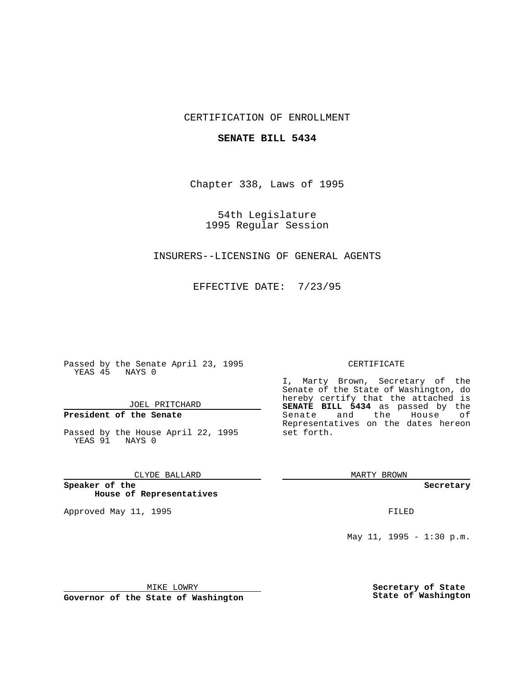## CERTIFICATION OF ENROLLMENT

## **SENATE BILL 5434**

Chapter 338, Laws of 1995

54th Legislature 1995 Regular Session

## INSURERS--LICENSING OF GENERAL AGENTS

EFFECTIVE DATE: 7/23/95

Passed by the Senate April 23, 1995 YEAS 45 NAYS 0

JOEL PRITCHARD

# **President of the Senate**

Passed by the House April 22, 1995 YEAS 91 NAYS 0

## CLYDE BALLARD

**Speaker of the House of Representatives**

Approved May 11, 1995 **FILED** 

#### CERTIFICATE

I, Marty Brown, Secretary of the Senate of the State of Washington, do hereby certify that the attached is **SENATE BILL 5434** as passed by the Senate and the House of Representatives on the dates hereon set forth.

MARTY BROWN

**Secretary**

May 11, 1995 - 1:30 p.m.

MIKE LOWRY

**Governor of the State of Washington**

**Secretary of State State of Washington**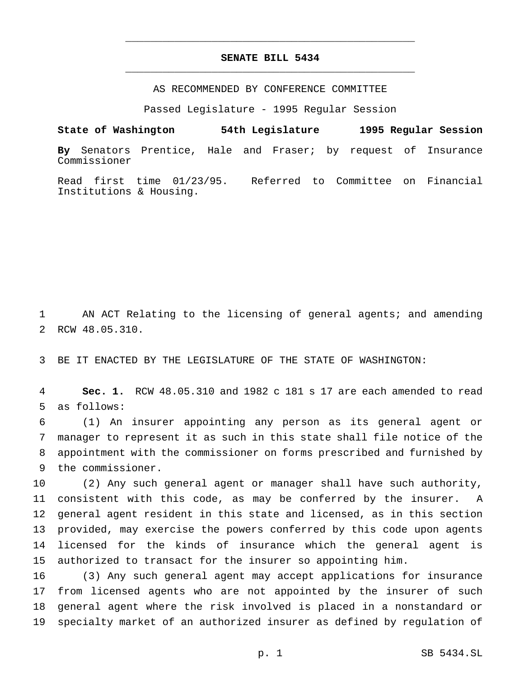# **SENATE BILL 5434** \_\_\_\_\_\_\_\_\_\_\_\_\_\_\_\_\_\_\_\_\_\_\_\_\_\_\_\_\_\_\_\_\_\_\_\_\_\_\_\_\_\_\_\_\_\_\_

\_\_\_\_\_\_\_\_\_\_\_\_\_\_\_\_\_\_\_\_\_\_\_\_\_\_\_\_\_\_\_\_\_\_\_\_\_\_\_\_\_\_\_\_\_\_\_

AS RECOMMENDED BY CONFERENCE COMMITTEE

Passed Legislature - 1995 Regular Session

**State of Washington 54th Legislature 1995 Regular Session**

**By** Senators Prentice, Hale and Fraser; by request of Insurance Commissioner

Read first time 01/23/95. Referred to Committee on Financial Institutions & Housing.

 AN ACT Relating to the licensing of general agents; and amending RCW 48.05.310.

BE IT ENACTED BY THE LEGISLATURE OF THE STATE OF WASHINGTON:

 **Sec. 1.** RCW 48.05.310 and 1982 c 181 s 17 are each amended to read as follows:

 (1) An insurer appointing any person as its general agent or manager to represent it as such in this state shall file notice of the appointment with the commissioner on forms prescribed and furnished by the commissioner.

 (2) Any such general agent or manager shall have such authority, consistent with this code, as may be conferred by the insurer. A general agent resident in this state and licensed, as in this section provided, may exercise the powers conferred by this code upon agents licensed for the kinds of insurance which the general agent is authorized to transact for the insurer so appointing him.

 (3) Any such general agent may accept applications for insurance from licensed agents who are not appointed by the insurer of such general agent where the risk involved is placed in a nonstandard or specialty market of an authorized insurer as defined by regulation of

p. 1 SB 5434.SL